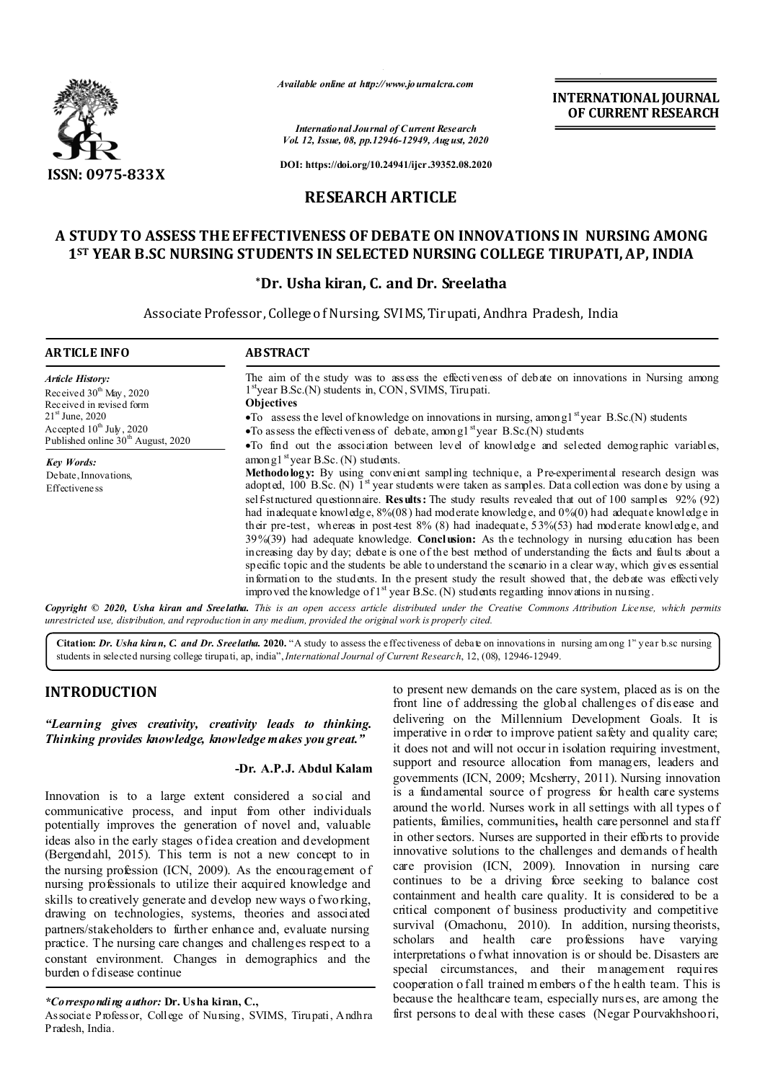

*Available online at http://www.journalcra.com*

**INTERNATIONAL JOURNAL OF CURRENT RESEARCH**

*International Journal of Current Research Vol. 12, Issue, 08, pp.12946-12949, August, 2020*

**DOI: https://doi.org/10.24941/ijcr.39352.08.2020**

# **RESEARCH ARTICLE**

# **A STUDY TO ASSESS THE EFFECTIVENESS OF DEBATE ON INNOVATIONS IN NURSING AMONG 1ST YEAR B.SC NURSING STUDENTS IN SELECTED NURSING COLLEGE TIRUPATI, AP, INDIA**

### **\*Dr. Usha kiran, C. and Dr. Sreelatha**

Associate Professor, College of Nursing, SVIMS,Tirupati, Andhra Pradesh, India

| <b>ARTICLE INFO</b>                                                                                                             | <b>ABSTRACT</b>                                                                                                                                                                                                                                                                                                                                                                                                                                                                                                                                                                                                                                                                                                                                                                                                                                                                                                                                                                                                                                                                                                                                                                                                 |
|---------------------------------------------------------------------------------------------------------------------------------|-----------------------------------------------------------------------------------------------------------------------------------------------------------------------------------------------------------------------------------------------------------------------------------------------------------------------------------------------------------------------------------------------------------------------------------------------------------------------------------------------------------------------------------------------------------------------------------------------------------------------------------------------------------------------------------------------------------------------------------------------------------------------------------------------------------------------------------------------------------------------------------------------------------------------------------------------------------------------------------------------------------------------------------------------------------------------------------------------------------------------------------------------------------------------------------------------------------------|
| Article History:<br>Received $30th$ May, 2020<br>Received in revised form<br>$21st$ June, 2020<br>Accepted $10^{th}$ July, 2020 | The aim of the study was to assess the effectiveness of debate on innovations in Nursing among<br>$1st$ year B.Sc.(N) students in, CON, SVIMS, Tirupati.<br><b>Objectives</b><br>$\bullet$ To assess the level of knowledge on innovations in nursing, among $1^{st}$ year B.Sc.(N) students<br>•To assess the effectiveness of debate, among $1^{st}$ year B.Sc.(N) students                                                                                                                                                                                                                                                                                                                                                                                                                                                                                                                                                                                                                                                                                                                                                                                                                                   |
| Published online 30 <sup>th</sup> August, 2020<br><b>Key Words:</b><br>Debate, Innovations,<br>Effectivene ss                   | •To find out the association between level of knowledge and selected demographic variables,<br>among1 <sup>st</sup> year B.Sc. (N) students.<br>Methodology: By using convenient sampling technique, a Pre-experimental research design was<br>adopted, 100 B.Sc. (N) $1st$ year students were taken as samples. Data collection was done by using a<br>self-structured questionnaire. Results: The study results revealed that out of 100 samples 92% (92)<br>had inadequate knowledge, $8\%/08$ ) had moderate knowledge, and $0\%/0$ ) had adequate knowledge in<br>their pre-test, whereas in post-test $8\%$ (8) had inadequate, $53\%(53)$ had moderate knowledge, and<br>$39\%(39)$ had adequate knowledge. <b>Conclusion:</b> As the technology in nursing education has been<br>increasing day by day; debate is one of the best method of understanding the facts and faults about a<br>specific topic and the students be able to understand the scenario in a clear way, which gives essential<br>information to the students. In the present study the result showed that, the debate was effectively<br>improved the knowledge of $1st$ year B.Sc. (N) students regarding innovations in nursing. |

Copyright © 2020, Usha kiran and Sreelatha. This is an open access article distributed under the Creative Commons Attribution License, which permits *unrestricted use, distribution, and reproduction in any medium, provided the original work is properly cited.*

**Citation:** *Dr. Usha kiran, C. and Dr. Sreelatha.* 2020. "A study to assess the effectiveness of debate on innovations in nursing am ong  $1<sup>st</sup>$ year b.sc nursing students in selected nursing college tirupati, ap, india",*International Journal of Current Research*, 12, (08), 12946-12949.

## **INTRODUCTION**

*"Learning gives creativity, creativity leads to thinking. Thinking provides knowledge, knowledge makes you great."*

## **-Dr. A.P.J. Abdul Kalam**

Innovation is to a large extent considered a social and communicative process, and input from other individuals potentially improves the generation of novel and, valuable ideas also in the early stages of idea creation and development (Bergendahl, 2015). This term is not a new concept to in the nursing profession (ICN, 2009). As the encouragement of nursing professionals to utilize their acquired knowledge and skills to creatively generate and develop new ways of working, drawing on technologies, systems, theories and associated partners/stakeholders to further enhance and, evaluate nursing practice. The nursing care changes and challenges respect to a constant environment. Changes in demographics and the burden o f disease continue

*\*Corresponding author:* **Dr. Usha kiran, C.,**

Associate Professor, College of Nursing, SVIMS, Tirupati, Andhra Pradesh, India.

to present new demands on the care system, placed as is on the front line of addressing the global challenges of dis ease and delivering on the Millennium Development Goals. It is imperative in o rder to improve patient safety and quality care; it does not and will not occur in isolation requiring investment, support and resource allocation from managers, leaders and governments (ICN, 2009; Mcsherry, 2011). Nursing innovation is a fundamental source of progress for health care systems around the world. Nurses work in all settings with all types of patients, families, communities**,** health care personnel and staff in other sectors. Nurses are supported in their efforts to provide innovative solutions to the challenges and demands of health care provision (ICN, 2009). Innovation in nursing care continues to be a driving force seeking to balance cost containment and health care quality. It is considered to be a critical component of business productivity and competitive survival (Omachonu, 2010). In addition, nursing theorists, scholars and health care professions have varying interpretations o f what innovation is or should be. Disasters are special circumstances, and their management requires cooperation o fall trained m embers of the h ealth team. This is because the healthcare team, especially nurs es, are among the first persons to deal with these cases (Negar Pourvakhshoori,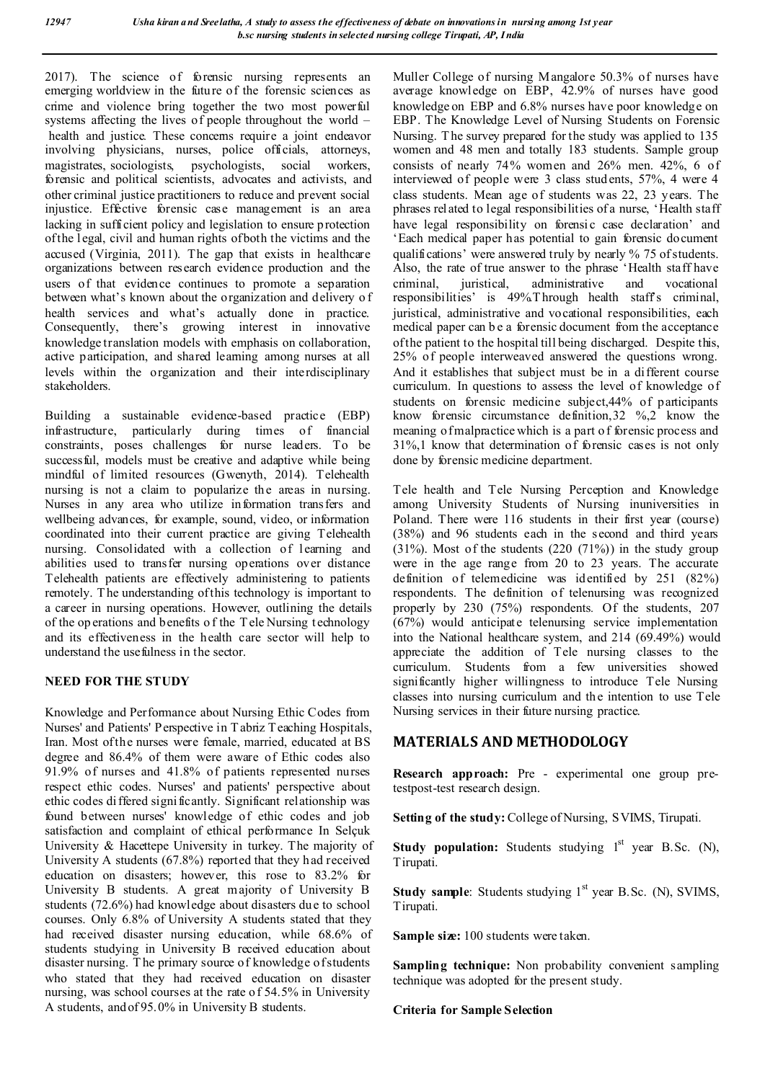2017). The science of forensic nursing represents an emerging worldview in the future of the forensic sciences as crime and violence bring together the two most powerful systems affecting the lives of people throughout the world *–* health and justice. These concerns require a joint endeavor involving physicians, nurses, police officials, attorneys, magistrates, sociologists, psychologists, social workers, forensic and political scientists, advocates and activists, and other criminal justice practitioners to reduce and prevent social injustice. Effective forensic case management is an area lacking in sufficient policy and legislation to ensure protection of the l egal, civil and human rights of both the victims and the accused (Virginia, 2011). The gap that exists in healthcare organizations between research evidence production and the users of that evidence continues to promote a separation between what's known about the organization and delivery o f health services and what's actually done in practice. Consequently, there's growing interest in innovative knowledge translation models with emphasis on collaboration, active participation, and shared learning among nurses at all levels within the organization and their interdisciplinary stakeholders.

Building a sustainable evidence-based practice (EBP) infrastructure, particularly during times of financial constraints, poses challenges for nurse leaders. To be successful, models must be creative and adaptive while being mindful of limited resources (Gwenyth, 2014). Telehealth nursing is not a claim to popularize the areas in nursing. Nurses in any area who utilize information transfers and wellbeing advances, for example, sound, video, or information coordinated into their current practice are giving Telehealth nursing. Consolidated with a collection of learning and abilities used to transfer nursing operations over distance Telehealth patients are effectively administering to patients remotely. T he understanding of this technology is important to a career in nursing operations. However, outlining the details of the op erations and benefits o f the T ele Nursing technology and its effectiveness in the health care sector will help to understand the usefulness in the sector.

### **NEED FOR THE STUDY**

Knowledge and Performance about Nursing Ethic Codes from Nurses' and Patients' Perspective in T abriz Teaching Hospitals, Iran. Most of the nurses were female, married, educated at BS degree and 86.4% of them were aware of Ethic codes also 91.9% of nurses and 41.8% of patients represented nurses respect ethic codes. Nurses' and patients' perspective about ethic codes di ffered significantly. Significant relationship was found between nurses' knowledge of ethic codes and job satisfaction and complaint of ethical performance In Selçuk University & Hacettepe University in turkey. The majority of University A students (67.8%) reported that they h ad received education on disasters; however, this rose to 83.2% for University B students. A great majority of University B students (72.6%) had knowledge about disasters du e to school courses. Only 6.8% of University A students stated that they had received disaster nursing education, while 68.6% of students studying in University B received education about disaster nursing. T he primary source of knowledge of students who stated that they had received education on disaster nursing, was school courses at the rate o f 54.5% in University A students, and of 95.0% in University B students.

Muller College of nursing Mangalore 50.3% of nurses have average knowledge on EBP, 42.9% of nurses have good knowledge on EBP and 6.8% nurses have poor knowledge on EBP. The Knowledge Level of Nursing Students on Forensic Nursing. T he survey prepared for the study was applied to 135 women and 48 men and totally 183 students. Sample group consists of nearly 74% women and 26% men. 42%, 6 of interviewed of people were 3 class stud ents, 57%, 4 were 4 class students. Mean age of students was 22, 23 years. The phrases related to legal responsibilities of a nurse, 'Health staff have legal responsibility on forensic case declaration' and 'Each medical paper has potential to gain forensic document qualifications' were answered truly by nearly % 75 of students. Also, the rate of true answer to the phrase 'Health staff have<br>criminal, juristical, administrative and vocational criminal, juristical, administrative and vocational responsibilities' is 49%.T hrough health staff's criminal, juristical, administrative and vocational responsibilities, each medical paper can b e a forensic document from the acceptance of the patient to the hospital till being discharged. Despite this, 25% of people interweaved answered the questions wrong. And it establishes that subject must be in a different course curriculum. In questions to assess the level of knowledge of students on forensic medicine subject,44% of participants know forensic circumstance definition,32 %,2 know the meaning of malpractice which is a part o f forensic process and 31%,1 know that determination of forensic cases is not only done by forensic medicine department.

Tele health and Tele Nursing Perception and Knowledge among University Students of Nursing inuniversities in Poland. There were 116 students in their first year (course) (38%) and 96 students each in the second and third years  $(31\%)$ . Most of the students  $(220 (71\%)$  in the study group were in the age range from 20 to 23 years. The accurate definition of telemedicine was identified by 251 (82%) respondents. The definition of telenursing was recognized properly by 230 (75%) respondents*.* Of the students, 207 (67%) would anticipate telenursing service implementation into the National healthcare system, and 214 (69.49%) would appreciate the addition of Tele nursing classes to the curriculum. Students from a few universities showed significantly higher willingness to introduce Tele Nursing classes into nursing curriculum and the intention to use Tele Nursing services in their future nursing practice.

# **MATERIALS AND METHODOLOGY**

**Research approach:** Pre - experimental one group pretestpost-test research design.

**Setting of the study:**College of Nursing, SVIMS, Tirupati.

**Study population:** Students studying 1<sup>st</sup> year B.Sc. (N), Tirupati.

**Study sample**: Students studying 1<sup>st</sup> year B.Sc. (N), SVIMS, Tirupati.

**Sample size:** 100 students were taken.

**Sampling technique:** Non probability convenient sampling technique was adopted for the present study.

**Criteria for Sample Selection**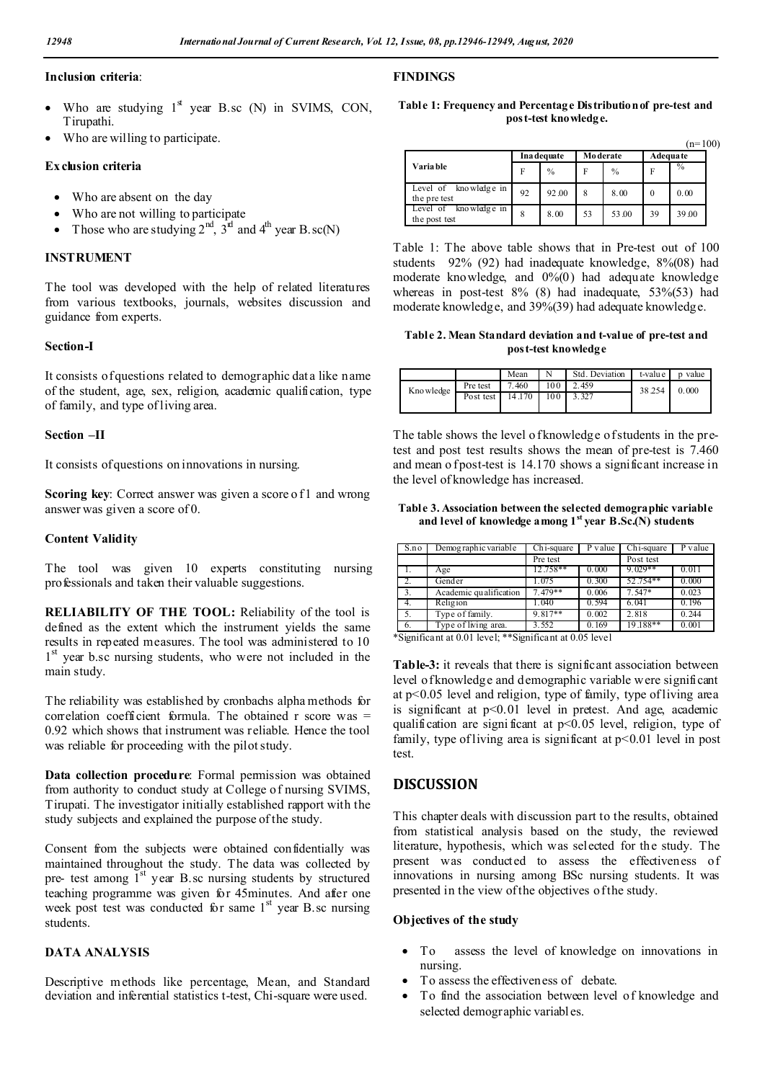#### **Inclusion criteria**:

- Who are studying  $1<sup>st</sup>$  year B.sc (N) in SVIMS, CON, Tirupathi.
- Who are willing to participate.

#### **Ex clusion criteria**

- Who are absent on the day
- Who are not willing to participate
- Those who are studying  $2^{nd}$ ,  $3^{rd}$  and  $4^{th}$  year B.sc(N)

### **INSTRUMENT**

The tool was developed with the help of related literatures from various textbooks, journals, websites discussion and guidance from experts.

#### **Section-I**

It consists of questions related to demographic data like name of the student, age, sex, religion, academic qualification, type of family, and type of living area.

#### **Section –II**

It consists of questions on innovations in nursing.

**Scoring key**: Correct answer was given a score of 1 and wrong answer was given a score of 0.

### **Content Validity**

The tool was given 10 experts constituting nursing professionals and taken their valuable suggestions.

**RELIABILITY OF THE TOOL:** Reliability of the tool is defined as the extent which the instrument yields the same results in repeated measures. The tool was administered to 10 1<sup>st</sup> year b.sc nursing students, who were not included in the main study.

The reliability was established by cronbachs alpha methods for correlation coefficient formula. The obtained r score was  $=$ 0.92 which shows that instrument was reliable. Hence the tool was reliable for proceeding with the pilot study.

**Data collection procedure**: Formal permission was obtained from authority to conduct study at College of nursing SVIMS, Tirupati. The investigator initially established rapport with the study subjects and explained the purpose of the study.

Consent from the subjects were obtained confidentially was maintained throughout the study. The data was collected by pre- test among  $\tilde{l}^{st}$  year B.sc nursing students by structured teaching programme was given for 45minutes. And after one week post test was conducted for same  $1<sup>st</sup>$  year B.sc nursing students.

### **DATA ANALYSIS**

Descriptive methods like percentage, Mean, and Standard deviation and inferential statistics t-test, Chi-square were used.

### **FINDINGS**

### **Table 1: Frequency and Percentage Distribution of pre-test and post-test knowledge.**

 $(n=100)$ 

|                                           | Ina dequate |       | <b>Moderate</b> |               | <b>Adequate</b> |               |
|-------------------------------------------|-------------|-------|-----------------|---------------|-----------------|---------------|
| Varia ble                                 | F           | $\%$  | F               | $\frac{0}{0}$ | F               | $\frac{6}{6}$ |
| kno wledge in<br>Level of<br>the pre test | 92          | 92.00 | 8               | 8.00          | $\theta$        | 0.00          |
| knowledge in<br>Level of<br>the post test | 8           | 8.00  | 53              | 53.00         | 39              | 39.00         |

Table 1: The above table shows that in Pre-test out of 100 students 92% (92) had inadequate knowledge, 8%(08) had moderate knowledge, and 0%(0) had adequate knowledge whereas in post-test 8% (8) had inadequate, 53%(53) had moderate knowledge, and 39%(39) had adequate knowledge.

**Table 2. Mean Standard deviation and t-value of pre-test and post-test knowledge**

|            |           | Mean   |     | Std. Deviation | t-value | p value |
|------------|-----------|--------|-----|----------------|---------|---------|
| Kno wledge | Pre test  | 7.460  | 100 | 2.459          | 38 254  | 0.000   |
|            | Post test | 14.170 | 100 |                |         |         |
|            |           |        |     |                |         |         |

The table shows the level of knowledge of students in the pretest and post test results shows the mean of pre-test is 7.460 and mean o f post-test is 14.170 shows a significant increase in the level of knowledge has increased.

**Table 3. Association between the selected demographic variable and level of knowledge among 1st year B.Sc.(N) students**

| S.no                           | Demog raphic variable                | $Chi$ -square    | P value | Ch <sub>i</sub> -square | P value |  |
|--------------------------------|--------------------------------------|------------------|---------|-------------------------|---------|--|
|                                |                                      | Pre test         |         | Post test               |         |  |
|                                | Age                                  | 12.758**         | 0.000   | $9.029**$               | 0.011   |  |
|                                | Gender                               | 1.075            | 0.300   | 52.754**                | 0.000   |  |
| 3.                             | Academic qualification               | $7.479**$        | 0.006   | 7.547*                  | 0.023   |  |
|                                | Religion                             | 1.040            | 0.594   | 6.041                   | 0.196   |  |
| - 5.                           | Type of family.                      | 9.817**          | 0.002   | 2.818                   | 0.244   |  |
| - 6.<br>$\cdot$ $\sim$<br>$-1$ | Type of living area.<br>about on the | 3.552<br>$\cdot$ | 0.169   | 19.188**                | 0.001   |  |

\*Significant at 0.01 level; \*\*Significant at 0.05 level

**Table-3:** it reveals that there is significant association between level of knowledge and demographic variable were significant at p<0.05 level and religion, type of family, type of living area is significant at p<0.01 level in pretest. And age, academic qualification are signi ficant at p<0.05 level, religion, type of family, type of living area is significant at  $p<0.01$  level in post test.

## **DISCUSSION**

This chapter deals with discussion part to the results, obtained from statistical analysis based on the study, the reviewed literature, hypothesis, which was selected for the study. The present was conducted to assess the effectiveness of innovations in nursing among BSc nursing students. It was presented in the view of the objectives of the study.

#### **Objectives of the study**

- To assess the level of knowledge on innovations in nursing.
- To assess the effectiveness of debate.
- To find the association between level of knowledge and selected demographic variables.